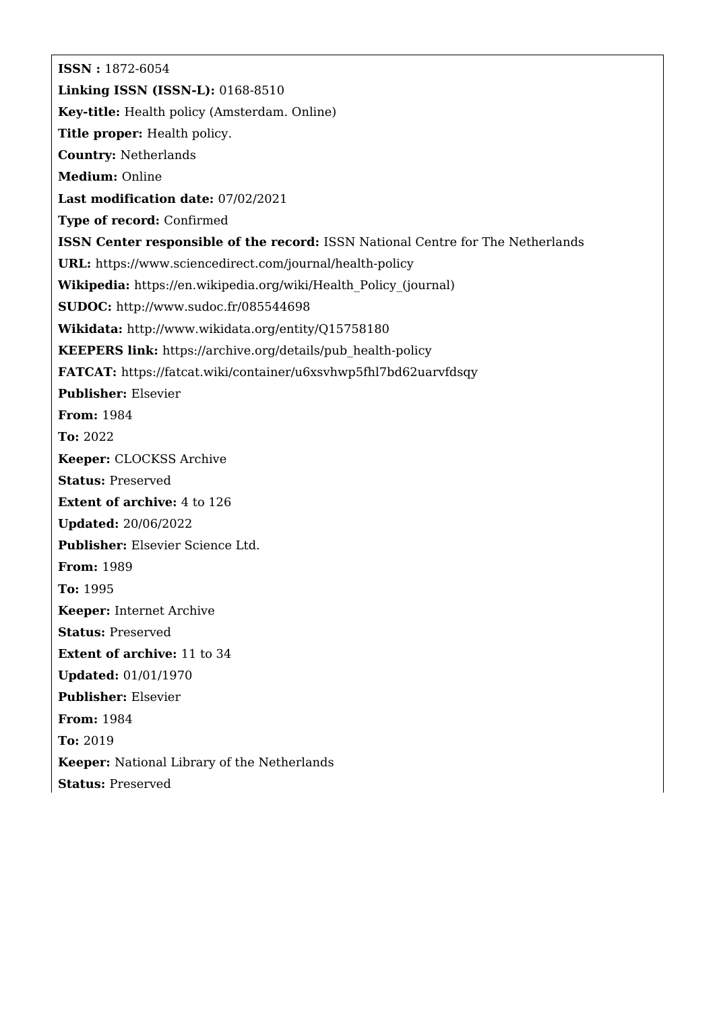**ISSN :** 1872-6054 **Linking ISSN (ISSN-L):** 0168-8510 **Key-title:** Health policy (Amsterdam. Online) **Title proper:** Health policy. **Country:** Netherlands **Medium:** Online **Last modification date:** 07/02/2021 **Type of record:** Confirmed **ISSN Center responsible of the record:** ISSN National Centre for The Netherlands **URL:** <https://www.sciencedirect.com/journal/health-policy> **Wikipedia:** [https://en.wikipedia.org/wiki/Health\\_Policy\\_\(journal\)](https://en.wikipedia.org/wiki/Health_Policy_(journal)) **SUDOC:** <http://www.sudoc.fr/085544698> **Wikidata:** <http://www.wikidata.org/entity/Q15758180> **KEEPERS link:** [https://archive.org/details/pub\\_health-policy](https://archive.org/details/pub_health-policy) **FATCAT:** <https://fatcat.wiki/container/u6xsvhwp5fhl7bd62uarvfdsqy> **Publisher:** Elsevier **From:** 1984 **To:** 2022 **Keeper:** CLOCKSS Archive **Status:** Preserved **Extent of archive:** 4 to 126 **Updated:** 20/06/2022 **Publisher:** Elsevier Science Ltd. **From:** 1989 **To:** 1995 **Keeper:** Internet Archive **Status:** Preserved **Extent of archive:** 11 to 34 **Updated:** 01/01/1970 **Publisher:** Elsevier **From:** 1984 **To:** 2019 **Keeper:** National Library of the Netherlands **Status:** Preserved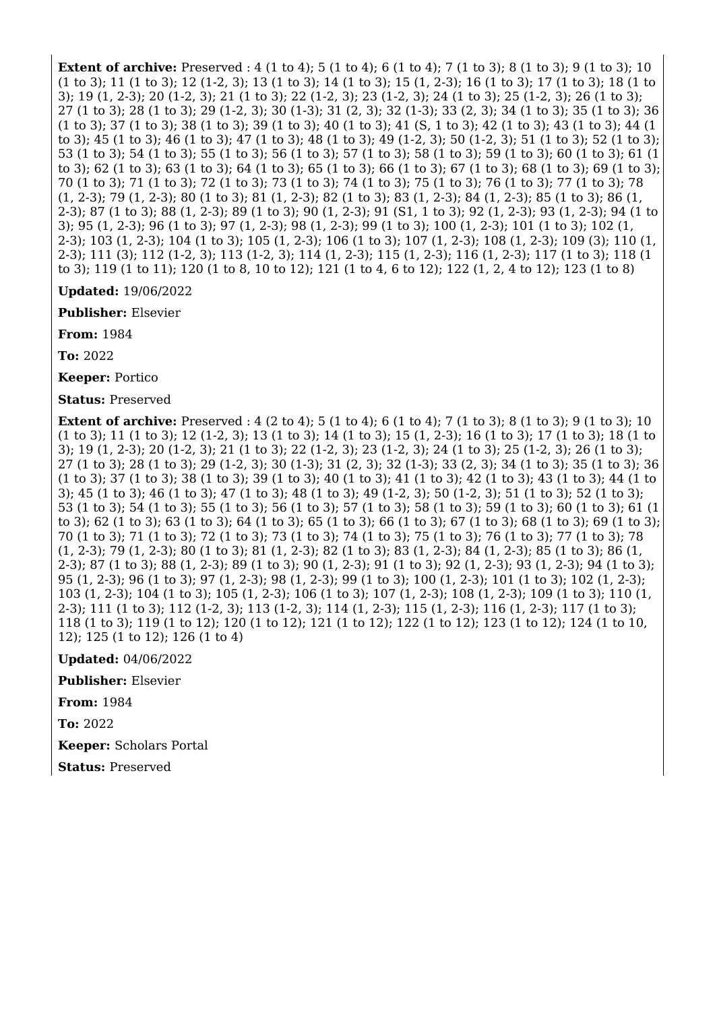**Extent of archive:** Preserved : 4 (1 to 4); 5 (1 to 4); 6 (1 to 4); 7 (1 to 3); 8 (1 to 3); 9 (1 to 3); 10 (1 to 3); 11 (1 to 3); 12 (1-2, 3); 13 (1 to 3); 14 (1 to 3); 15 (1, 2-3); 16 (1 to 3); 17 (1 to 3); 18 (1 to 3); 19 (1, 2-3); 20 (1-2, 3); 21 (1 to 3); 22 (1-2, 3); 23 (1-2, 3); 24 (1 to 3); 25 (1-2, 3); 26 (1 to 3); 27 (1 to 3); 28 (1 to 3); 29 (1-2, 3); 30 (1-3); 31 (2, 3); 32 (1-3); 33 (2, 3); 34 (1 to 3); 35 (1 to 3); 36 (1 to 3); 37 (1 to 3); 38 (1 to 3); 39 (1 to 3); 40 (1 to 3); 41 (S, 1 to 3); 42 (1 to 3); 43 (1 to 3); 44 (1 to 3); 45 (1 to 3); 46 (1 to 3); 47 (1 to 3); 48 (1 to 3); 49 (1-2, 3); 50 (1-2, 3); 51 (1 to 3); 52 (1 to 3); 53 (1 to 3); 54 (1 to 3); 55 (1 to 3); 56 (1 to 3); 57 (1 to 3); 58 (1 to 3); 59 (1 to 3); 60 (1 to 3); 61 (1 to 3); 62 (1 to 3); 63 (1 to 3); 64 (1 to 3); 65 (1 to 3); 66 (1 to 3); 67 (1 to 3); 68 (1 to 3); 69 (1 to 3); 70 (1 to 3); 71 (1 to 3); 72 (1 to 3); 73 (1 to 3); 74 (1 to 3); 75 (1 to 3); 76 (1 to 3); 77 (1 to 3); 78 (1, 2-3); 79 (1, 2-3); 80 (1 to 3); 81 (1, 2-3); 82 (1 to 3); 83 (1, 2-3); 84 (1, 2-3); 85 (1 to 3); 86 (1, 2-3); 87 (1 to 3); 88 (1, 2-3); 89 (1 to 3); 90 (1, 2-3); 91 (S1, 1 to 3); 92 (1, 2-3); 93 (1, 2-3); 94 (1 to 3); 95 (1, 2-3); 96 (1 to 3); 97 (1, 2-3); 98 (1, 2-3); 99 (1 to 3); 100 (1, 2-3); 101 (1 to 3); 102 (1, 2-3); 103 (1, 2-3); 104 (1 to 3); 105 (1, 2-3); 106 (1 to 3); 107 (1, 2-3); 108 (1, 2-3); 109 (3); 110 (1, 2-3); 111 (3); 112 (1-2, 3); 113 (1-2, 3); 114 (1, 2-3); 115 (1, 2-3); 116 (1, 2-3); 117 (1 to 3); 118 (1 to 3); 119 (1 to 11); 120 (1 to 8, 10 to 12); 121 (1 to 4, 6 to 12); 122 (1, 2, 4 to 12); 123 (1 to 8)

**Updated:** 19/06/2022

**Publisher:** Elsevier

**From:** 1984

**To:** 2022

**Keeper:** Portico

**Status:** Preserved

**Extent of archive:** Preserved : 4 (2 to 4); 5 (1 to 4); 6 (1 to 4); 7 (1 to 3); 8 (1 to 3); 9 (1 to 3); 10 (1 to 3); 11 (1 to 3); 12 (1-2, 3); 13 (1 to 3); 14 (1 to 3); 15 (1, 2-3); 16 (1 to 3); 17 (1 to 3); 18 (1 to 3); 19 (1, 2-3); 20 (1-2, 3); 21 (1 to 3); 22 (1-2, 3); 23 (1-2, 3); 24 (1 to 3); 25 (1-2, 3); 26 (1 to 3); 27 (1 to 3); 28 (1 to 3); 29 (1-2, 3); 30 (1-3); 31 (2, 3); 32 (1-3); 33 (2, 3); 34 (1 to 3); 35 (1 to 3); 36 (1 to 3); 37 (1 to 3); 38 (1 to 3); 39 (1 to 3); 40 (1 to 3); 41 (1 to 3); 42 (1 to 3); 43 (1 to 3); 44 (1 to 3); 45 (1 to 3); 46 (1 to 3); 47 (1 to 3); 48 (1 to 3); 49 (1-2, 3); 50 (1-2, 3); 51 (1 to 3); 52 (1 to 3); 53 (1 to 3); 54 (1 to 3); 55 (1 to 3); 56 (1 to 3); 57 (1 to 3); 58 (1 to 3); 59 (1 to 3); 60 (1 to 3); 61 (1 to 3); 62 (1 to 3); 63 (1 to 3); 64 (1 to 3); 65 (1 to 3); 66 (1 to 3); 67 (1 to 3); 68 (1 to 3); 69 (1 to 3); 70 (1 to 3); 71 (1 to 3); 72 (1 to 3); 73 (1 to 3); 74 (1 to 3); 75 (1 to 3); 76 (1 to 3); 77 (1 to 3); 78 (1, 2-3); 79 (1, 2-3); 80 (1 to 3); 81 (1, 2-3); 82 (1 to 3); 83 (1, 2-3); 84 (1, 2-3); 85 (1 to 3); 86 (1, 2-3); 87 (1 to 3); 88 (1, 2-3); 89 (1 to 3); 90 (1, 2-3); 91 (1 to 3); 92 (1, 2-3); 93 (1, 2-3); 94 (1 to 3); 95 (1, 2-3); 96 (1 to 3); 97 (1, 2-3); 98 (1, 2-3); 99 (1 to 3); 100 (1, 2-3); 101 (1 to 3); 102 (1, 2-3); 103 (1, 2-3); 104 (1 to 3); 105 (1, 2-3); 106 (1 to 3); 107 (1, 2-3); 108 (1, 2-3); 109 (1 to 3); 110 (1, 2-3); 111 (1 to 3); 112 (1-2, 3); 113 (1-2, 3); 114 (1, 2-3); 115 (1, 2-3); 116 (1, 2-3); 117 (1 to 3); 118 (1 to 3); 119 (1 to 12); 120 (1 to 12); 121 (1 to 12); 122 (1 to 12); 123 (1 to 12); 124 (1 to 10, 12); 125 (1 to 12); 126 (1 to 4)

**Updated:** 04/06/2022

**Publisher:** Elsevier

**From:** 1984

**To:** 2022

**Keeper:** Scholars Portal

**Status:** Preserved